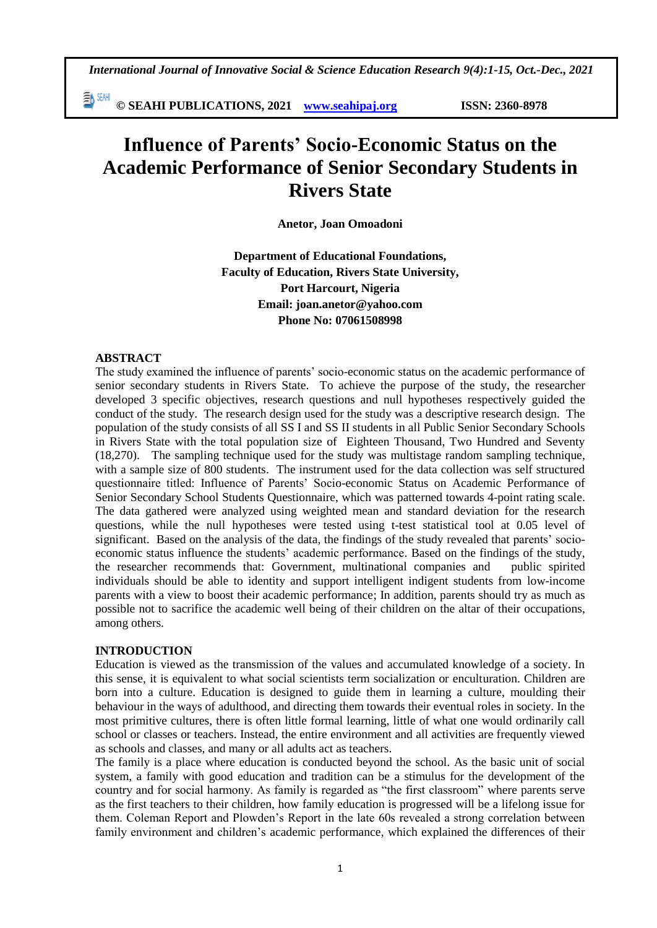*International Journal of Innovative Social & Science Education Research 9(4):1-15, Oct.-Dec., 2021*

勤酬 **© SEAHI PUBLICATIONS, 2021 [www.seahipaj.org](http://www.seahipaj.org/) ISSN: 2360-8978**

# **Influence of Parents' Socio-Economic Status on the Academic Performance of Senior Secondary Students in Rivers State**

**Anetor, Joan Omoadoni** 

**Department of Educational Foundations, Faculty of Education, Rivers State University, Port Harcourt, Nigeria Email: joan.anetor@yahoo.com Phone No: 07061508998**

## **ABSTRACT**

The study examined the influence of parents' socio-economic status on the academic performance of senior secondary students in Rivers State. To achieve the purpose of the study, the researcher developed 3 specific objectives, research questions and null hypotheses respectively guided the conduct of the study. The research design used for the study was a descriptive research design. The population of the study consists of all SS I and SS II students in all Public Senior Secondary Schools in Rivers State with the total population size of Eighteen Thousand, Two Hundred and Seventy (18,270). The sampling technique used for the study was multistage random sampling technique, with a sample size of 800 students. The instrument used for the data collection was self structured questionnaire titled: Influence of Parents' Socio-economic Status on Academic Performance of Senior Secondary School Students Questionnaire, which was patterned towards 4-point rating scale. The data gathered were analyzed using weighted mean and standard deviation for the research questions, while the null hypotheses were tested using t-test statistical tool at 0.05 level of significant. Based on the analysis of the data, the findings of the study revealed that parents' socioeconomic status influence the students' academic performance. Based on the findings of the study, the researcher recommends that: Government, multinational companies and public spirited individuals should be able to identity and support intelligent indigent students from low-income parents with a view to boost their academic performance; In addition, parents should try as much as possible not to sacrifice the academic well being of their children on the altar of their occupations, among others.

## **INTRODUCTION**

Education is viewed as the transmission of the values and accumulated knowledge of a society. In this sense, it is equivalent to what social scientists term socialization or enculturation. Children are born into a culture. Education is designed to guide them in learning a culture, moulding their behaviour in the ways of adulthood, and directing them towards their eventual roles in society. In the most primitive cultures, there is often little formal learning, little of what one would ordinarily call school or classes or teachers. Instead, the entire environment and all activities are frequently viewed as schools and classes, and many or all adults act as teachers.

The family is a place where education is conducted beyond the school. As the basic unit of social system, a family with good education and tradition can be a stimulus for the development of the country and for social harmony. As family is regarded as "the first classroom" where parents serve as the first teachers to their children, how family education is progressed will be a lifelong issue for them. Coleman Report and Plowden's Report in the late 60s revealed a strong correlation between family environment and children's academic performance, which explained the differences of their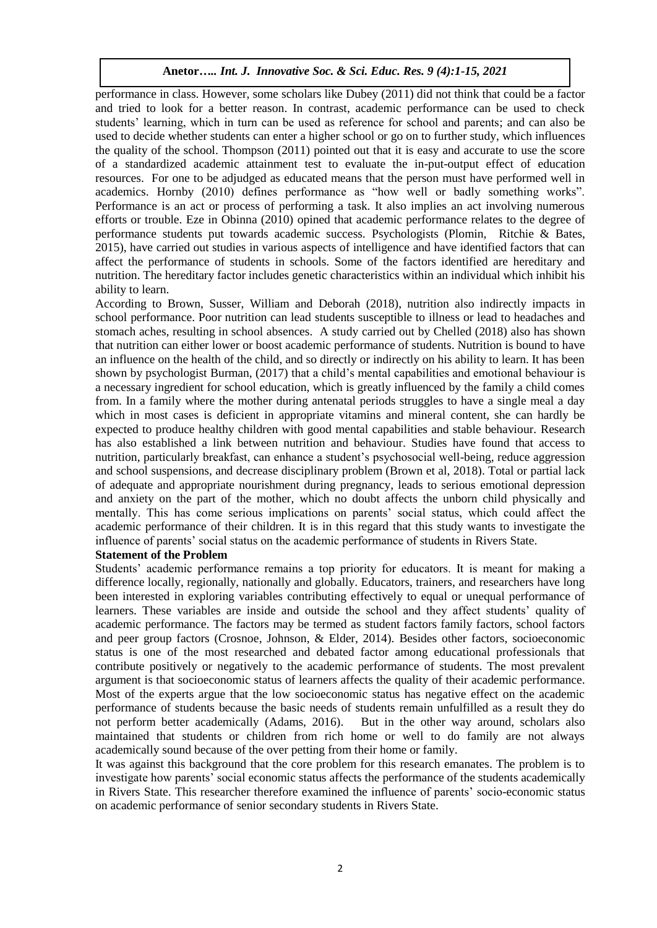performance in class. However, some scholars like Dubey (2011) did not think that could be a factor and tried to look for a better reason. In contrast, academic performance can be used to check students' learning, which in turn can be used as reference for school and parents; and can also be used to decide whether students can enter a higher school or go on to further study, which influences the quality of the school. Thompson (2011) pointed out that it is easy and accurate to use the score of a standardized academic attainment test to evaluate the in-put-output effect of education resources. For one to be adjudged as educated means that the person must have performed well in academics. Hornby (2010) defines performance as "how well or badly something works". Performance is an act or process of performing a task. It also implies an act involving numerous efforts or trouble. Eze in Obinna (2010) opined that academic performance relates to the degree of performance students put towards academic success. Psychologists (Plomin, Ritchie & Bates, 2015), have carried out studies in various aspects of intelligence and have identified factors that can affect the performance of students in schools. Some of the factors identified are hereditary and nutrition. The hereditary factor includes genetic characteristics within an individual which inhibit his ability to learn.

According to Brown, Susser, William and Deborah (2018), nutrition also indirectly impacts in school performance. Poor nutrition can lead students susceptible to illness or lead to headaches and stomach aches, resulting in school absences. A study carried out by Chelled (2018) also has shown that nutrition can either lower or boost academic performance of students. Nutrition is bound to have an influence on the health of the child, and so directly or indirectly on his ability to learn. It has been shown by psychologist Burman, (2017) that a child's mental capabilities and emotional behaviour is a necessary ingredient for school education, which is greatly influenced by the family a child comes from. In a family where the mother during antenatal periods struggles to have a single meal a day which in most cases is deficient in appropriate vitamins and mineral content, she can hardly be expected to produce healthy children with good mental capabilities and stable behaviour. Research has also established a link between nutrition and behaviour. Studies have found that access to nutrition, particularly breakfast, can enhance a student's psychosocial well-being, reduce aggression and school suspensions, and decrease disciplinary problem (Brown et al, 2018). Total or partial lack of adequate and appropriate nourishment during pregnancy, leads to serious emotional depression and anxiety on the part of the mother, which no doubt affects the unborn child physically and mentally. This has come serious implications on parents' social status, which could affect the academic performance of their children. It is in this regard that this study wants to investigate the influence of parents' social status on the academic performance of students in Rivers State.

#### **Statement of the Problem**

Students' academic performance remains a top priority for educators. It is meant for making a difference locally, regionally, nationally and globally. Educators, trainers, and researchers have long been interested in exploring variables contributing effectively to equal or unequal performance of learners. These variables are inside and outside the school and they affect students' quality of academic performance. The factors may be termed as student factors family factors, school factors and peer group factors (Crosnoe, Johnson, & Elder, 2014). Besides other factors, socioeconomic status is one of the most researched and debated factor among educational professionals that contribute positively or negatively to the academic performance of students. The most prevalent argument is that socioeconomic status of learners affects the quality of their academic performance. Most of the experts argue that the low socioeconomic status has negative effect on the academic performance of students because the basic needs of students remain unfulfilled as a result they do not perform better academically (Adams, 2016). But in the other way around, scholars also maintained that students or children from rich home or well to do family are not always academically sound because of the over petting from their home or family.

It was against this background that the core problem for this research emanates. The problem is to investigate how parents' social economic status affects the performance of the students academically in Rivers State. This researcher therefore examined the influence of parents' socio-economic status on academic performance of senior secondary students in Rivers State.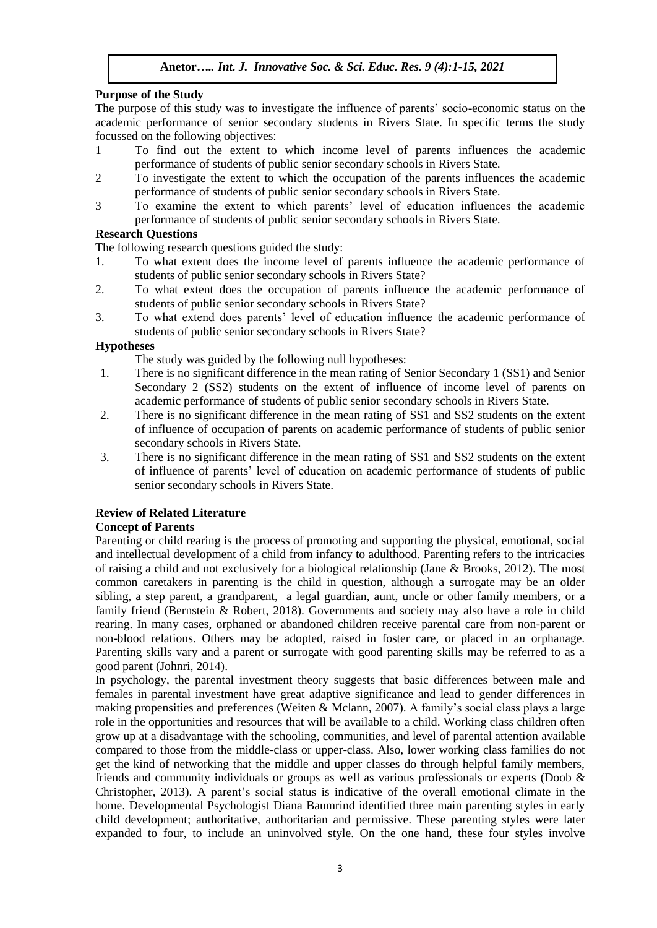## **Purpose of the Study**

The purpose of this study was to investigate the influence of parents' socio-economic status on the academic performance of senior secondary students in Rivers State. In specific terms the study focussed on the following objectives:

- 1 To find out the extent to which income level of parents influences the academic performance of students of public senior secondary schools in Rivers State.
- 2 To investigate the extent to which the occupation of the parents influences the academic performance of students of public senior secondary schools in Rivers State.
- 3 To examine the extent to which parents' level of education influences the academic performance of students of public senior secondary schools in Rivers State.

## **Research Questions**

The following research questions guided the study:

- 1. To what extent does the income level of parents influence the academic performance of students of public senior secondary schools in Rivers State?
- 2. To what extent does the occupation of parents influence the academic performance of students of public senior secondary schools in Rivers State?
- 3. To what extend does parents' level of education influence the academic performance of students of public senior secondary schools in Rivers State?

## **Hypotheses**

The study was guided by the following null hypotheses:

- 1. There is no significant difference in the mean rating of Senior Secondary 1 (SS1) and Senior Secondary 2 (SS2) students on the extent of influence of income level of parents on academic performance of students of public senior secondary schools in Rivers State.
- 2. There is no significant difference in the mean rating of SS1 and SS2 students on the extent of influence of occupation of parents on academic performance of students of public senior secondary schools in Rivers State.
- 3. There is no significant difference in the mean rating of SS1 and SS2 students on the extent of influence of parents' level of education on academic performance of students of public senior secondary schools in Rivers State.

## **Review of Related Literature**

## **Concept of Parents**

Parenting or child rearing is the process of promoting and supporting the physical, emotional, social and intellectual development of a child from infancy to adulthood. Parenting refers to the intricacies of raising a child and not exclusively for a biological relationship (Jane & Brooks, 2012). The most common caretakers in parenting is the child in question, although a surrogate may be an older sibling, a step parent, a grandparent, a legal guardian, aunt, uncle or other family members, or a family friend (Bernstein & Robert, 2018). Governments and society may also have a role in child rearing. In many cases, orphaned or abandoned children receive parental care from non-parent or non-blood relations. Others may be adopted, raised in foster care, or placed in an orphanage. Parenting skills vary and a parent or surrogate with good parenting skills may be referred to as a good parent (Johnri, 2014).

In psychology, the parental investment theory suggests that basic differences between male and females in parental investment have great adaptive significance and lead to gender differences in making propensities and preferences (Weiten & Mclann, 2007). A family's social class plays a large role in the opportunities and resources that will be available to a child. Working class children often grow up at a disadvantage with the schooling, communities, and level of parental attention available compared to those from the middle-class or upper-class. Also, lower working class families do not get the kind of networking that the middle and upper classes do through helpful family members, friends and community individuals or groups as well as various professionals or experts (Doob & Christopher, 2013). A parent's social status is indicative of the overall emotional climate in the home. Developmental Psychologist Diana Baumrind identified three main parenting styles in early child development; authoritative, authoritarian and permissive. These parenting styles were later expanded to four, to include an uninvolved style. On the one hand, these four styles involve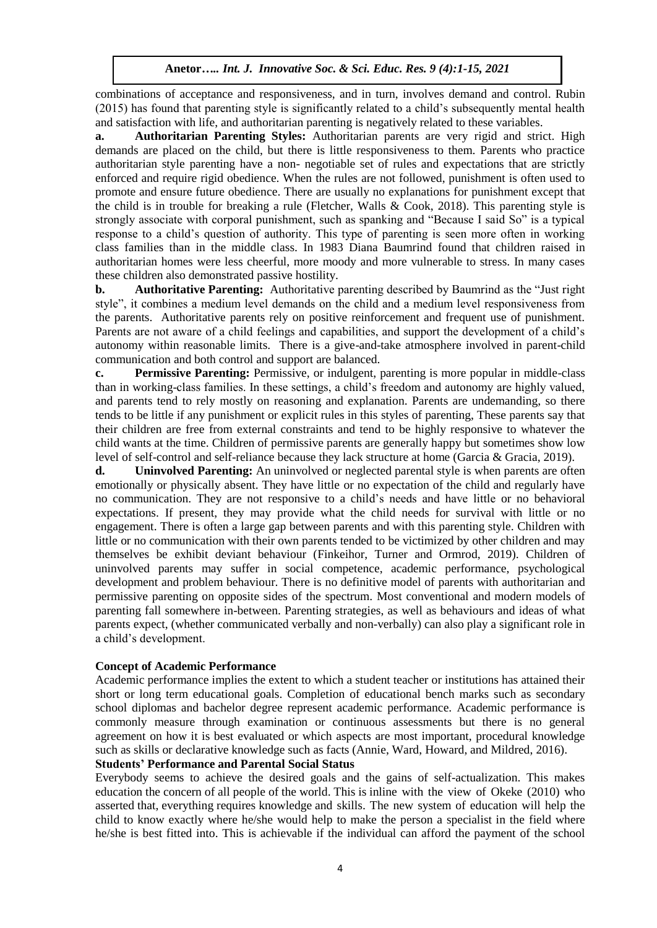combinations of acceptance and responsiveness, and in turn, involves demand and control. Rubin (2015) has found that parenting style is significantly related to a child's subsequently mental health and satisfaction with life, and authoritarian parenting is negatively related to these variables.

**a. Authoritarian Parenting Styles:** Authoritarian parents are very rigid and strict. High demands are placed on the child, but there is little responsiveness to them. Parents who practice authoritarian style parenting have a non- negotiable set of rules and expectations that are strictly enforced and require rigid obedience. When the rules are not followed, punishment is often used to promote and ensure future obedience. There are usually no explanations for punishment except that the child is in trouble for breaking a rule (Fletcher, Walls & Cook, 2018). This parenting style is strongly associate with corporal punishment, such as spanking and "Because I said So" is a typical response to a child's question of authority. This type of parenting is seen more often in working class families than in the middle class. In 1983 Diana Baumrind found that children raised in authoritarian homes were less cheerful, more moody and more vulnerable to stress. In many cases these children also demonstrated passive hostility.

**b. Authoritative Parenting:** Authoritative parenting described by Baumrind as the "Just right style", it combines a medium level demands on the child and a medium level responsiveness from the parents. Authoritative parents rely on positive reinforcement and frequent use of punishment. Parents are not aware of a child feelings and capabilities, and support the development of a child's autonomy within reasonable limits. There is a give-and-take atmosphere involved in parent-child communication and both control and support are balanced.

**c. Permissive Parenting:** Permissive, or indulgent, parenting is more popular in middle-class than in working-class families. In these settings, a child's freedom and autonomy are highly valued, and parents tend to rely mostly on reasoning and explanation. Parents are undemanding, so there tends to be little if any punishment or explicit rules in this styles of parenting, These parents say that their children are free from external constraints and tend to be highly responsive to whatever the child wants at the time. Children of permissive parents are generally happy but sometimes show low level of self-control and self-reliance because they lack structure at home (Garcia & Gracia, 2019).

**d. Uninvolved Parenting:** An uninvolved or neglected parental style is when parents are often emotionally or physically absent. They have little or no expectation of the child and regularly have no communication. They are not responsive to a child's needs and have little or no behavioral expectations. If present, they may provide what the child needs for survival with little or no engagement. There is often a large gap between parents and with this parenting style. Children with little or no communication with their own parents tended to be victimized by other children and may themselves be exhibit deviant behaviour (Finkeihor, Turner and Ormrod, 2019). Children of uninvolved parents may suffer in social competence, academic performance, psychological development and problem behaviour. There is no definitive model of parents with authoritarian and permissive parenting on opposite sides of the spectrum. Most conventional and modern models of parenting fall somewhere in-between. Parenting strategies, as well as behaviours and ideas of what parents expect, (whether communicated verbally and non-verbally) can also play a significant role in a child's development.

## **Concept of Academic Performance**

Academic performance implies the extent to which a student teacher or institutions has attained their short or long term educational goals. Completion of educational bench marks such as secondary school diplomas and bachelor degree represent academic performance. Academic performance is commonly measure through examination or continuous assessments but there is no general agreement on how it is best evaluated or which aspects are most important, procedural knowledge such as skills or declarative knowledge such as facts (Annie, Ward, Howard, and Mildred, 2016).

#### **Students' Performance and Parental Social Status**

Everybody seems to achieve the desired goals and the gains of self-actualization. This makes education the concern of all people of the world. This is inline with the view of Okeke (2010) who asserted that, everything requires knowledge and skills. The new system of education will help the child to know exactly where he/she would help to make the person a specialist in the field where he/she is best fitted into. This is achievable if the individual can afford the payment of the school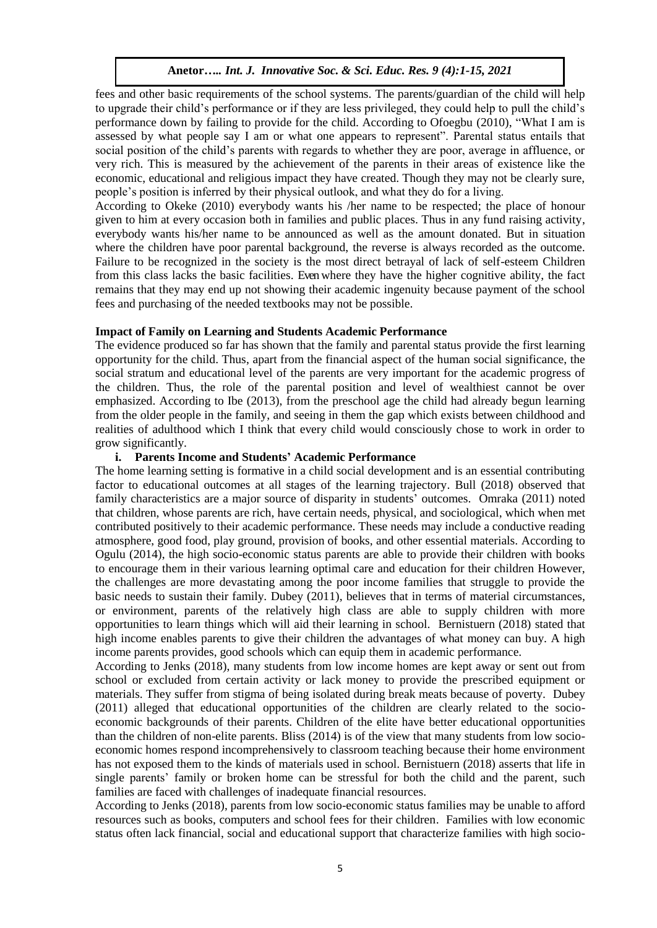fees and other basic requirements of the school systems. The parents/guardian of the child will help to upgrade their child's performance or if they are less privileged, they could help to pull the child's performance down by failing to provide for the child. According to Ofoegbu (2010), "What I am is assessed by what people say I am or what one appears to represent". Parental status entails that social position of the child's parents with regards to whether they are poor, average in affluence, or very rich. This is measured by the achievement of the parents in their areas of existence like the economic, educational and religious impact they have created. Though they may not be clearly sure, people's position is inferred by their physical outlook, and what they do for a living.

According to Okeke (2010) everybody wants his /her name to be respected; the place of honour given to him at every occasion both in families and public places. Thus in any fund raising activity, everybody wants his/her name to be announced as well as the amount donated. But in situation where the children have poor parental background, the reverse is always recorded as the outcome. Failure to be recognized in the society is the most direct betrayal of lack of self-esteem Children from this class lacks the basic facilities. Even where they have the higher cognitive ability, the fact remains that they may end up not showing their academic ingenuity because payment of the school fees and purchasing of the needed textbooks may not be possible.

### **Impact of Family on Learning and Students Academic Performance**

The evidence produced so far has shown that the family and parental status provide the first learning opportunity for the child. Thus, apart from the financial aspect of the human social significance, the social stratum and educational level of the parents are very important for the academic progress of the children. Thus, the role of the parental position and level of wealthiest cannot be over emphasized. According to Ibe (2013), from the preschool age the child had already begun learning from the older people in the family, and seeing in them the gap which exists between childhood and realities of adulthood which I think that every child would consciously chose to work in order to grow significantly.

#### **i. Parents Income and Students' Academic Performance**

The home learning setting is formative in a child social development and is an essential contributing factor to educational outcomes at all stages of the learning trajectory. Bull (2018) observed that family characteristics are a major source of disparity in students' outcomes. Omraka (2011) noted that children, whose parents are rich, have certain needs, physical, and sociological, which when met contributed positively to their academic performance. These needs may include a conductive reading atmosphere, good food, play ground, provision of books, and other essential materials. According to Ogulu (2014), the high socio-economic status parents are able to provide their children with books to encourage them in their various learning optimal care and education for their children However, the challenges are more devastating among the poor income families that struggle to provide the basic needs to sustain their family. Dubey (2011), believes that in terms of material circumstances, or environment, parents of the relatively high class are able to supply children with more opportunities to learn things which will aid their learning in school. Bernistuern (2018) stated that high income enables parents to give their children the advantages of what money can buy. A high income parents provides, good schools which can equip them in academic performance.

According to Jenks (2018), many students from low income homes are kept away or sent out from school or excluded from certain activity or lack money to provide the prescribed equipment or materials. They suffer from stigma of being isolated during break meats because of poverty. Dubey (2011) alleged that educational opportunities of the children are clearly related to the socioeconomic backgrounds of their parents. Children of the elite have better educational opportunities than the children of non-elite parents. Bliss (2014) is of the view that many students from low socioeconomic homes respond incomprehensively to classroom teaching because their home environment has not exposed them to the kinds of materials used in school. Bernistuern (2018) asserts that life in single parents' family or broken home can be stressful for both the child and the parent, such families are faced with challenges of inadequate financial resources.

According to Jenks (2018), parents from low socio-economic status families may be unable to afford resources such as books, computers and school fees for their children. Families with low economic status often lack financial, social and educational support that characterize families with high socio-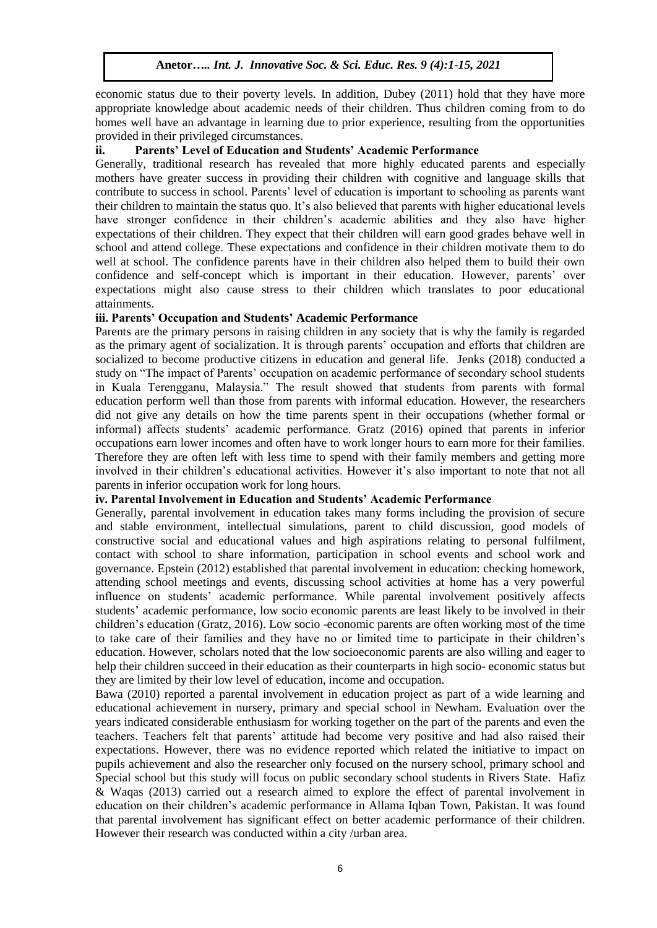economic status due to their poverty levels. In addition, Dubey (2011) hold that they have more appropriate knowledge about academic needs of their children. Thus children coming from to do homes well have an advantage in learning due to prior experience, resulting from the opportunities provided in their privileged circumstances.

#### **ii. Parents' Level of Education and Students' Academic Performance**

Generally, traditional research has revealed that more highly educated parents and especially mothers have greater success in providing their children with cognitive and language skills that contribute to success in school. Parents' level of education is important to schooling as parents want their children to maintain the status quo. It's also believed that parents with higher educational levels have stronger confidence in their children's academic abilities and they also have higher expectations of their children. They expect that their children will earn good grades behave well in school and attend college. These expectations and confidence in their children motivate them to do well at school. The confidence parents have in their children also helped them to build their own confidence and self-concept which is important in their education. However, parents' over expectations might also cause stress to their children which translates to poor educational attainments.

## **iii. Parents' Occupation and Students' Academic Performance**

Parents are the primary persons in raising children in any society that is why the family is regarded as the primary agent of socialization. It is through parents' occupation and efforts that children are socialized to become productive citizens in education and general life. Jenks (2018) conducted a study on "The impact of Parents' occupation on academic performance of secondary school students in Kuala Terengganu, Malaysia." The result showed that students from parents with formal education perform well than those from parents with informal education. However, the researchers did not give any details on how the time parents spent in their occupations (whether formal or informal) affects students' academic performance. Gratz (2016) opined that parents in inferior occupations earn lower incomes and often have to work longer hours to earn more for their families. Therefore they are often left with less time to spend with their family members and getting more involved in their children's educational activities. However it's also important to note that not all parents in inferior occupation work for long hours.

#### **iv. Parental Involvement in Education and Students' Academic Performance**

Generally, parental involvement in education takes many forms including the provision of secure and stable environment, intellectual simulations, parent to child discussion, good models of constructive social and educational values and high aspirations relating to personal fulfilment, contact with school to share information, participation in school events and school work and governance. Epstein (2012) established that parental involvement in education: checking homework, attending school meetings and events, discussing school activities at home has a very powerful influence on students' academic performance. While parental involvement positively affects students' academic performance, low socio economic parents are least likely to be involved in their children's education (Gratz, 2016). Low socio -economic parents are often working most of the time to take care of their families and they have no or limited time to participate in their children's education. However, scholars noted that the low socioeconomic parents are also willing and eager to help their children succeed in their education as their counterparts in high socio- economic status but they are limited by their low level of education, income and occupation.

Bawa (2010) reported a parental involvement in education project as part of a wide learning and educational achievement in nursery, primary and special school in Newham. Evaluation over the years indicated considerable enthusiasm for working together on the part of the parents and even the teachers. Teachers felt that parents' attitude had become very positive and had also raised their expectations. However, there was no evidence reported which related the initiative to impact on pupils achievement and also the researcher only focused on the nursery school, primary school and Special school but this study will focus on public secondary school students in Rivers State. Hafiz & Waqas (2013) carried out a research aimed to explore the effect of parental involvement in education on their children's academic performance in Allama Iqban Town, Pakistan. It was found that parental involvement has significant effect on better academic performance of their children. However their research was conducted within a city /urban area.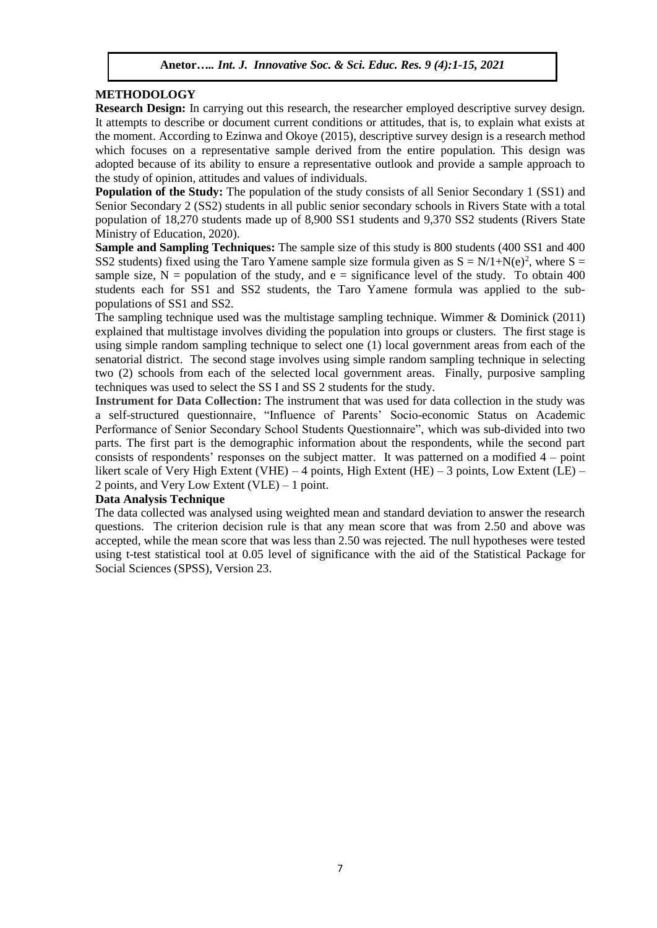## **METHODOLOGY**

**Research Design:** In carrying out this research, the researcher employed descriptive survey design. It attempts to describe or document current conditions or attitudes, that is, to explain what exists at the moment. According to Ezinwa and Okoye (2015), descriptive survey design is a research method which focuses on a representative sample derived from the entire population. This design was adopted because of its ability to ensure a representative outlook and provide a sample approach to the study of opinion, attitudes and values of individuals.

**Population of the Study:** The population of the study consists of all Senior Secondary 1 (SS1) and Senior Secondary 2 (SS2) students in all public senior secondary schools in Rivers State with a total population of 18,270 students made up of 8,900 SS1 students and 9,370 SS2 students (Rivers State Ministry of Education, 2020).

**Sample and Sampling Techniques:** The sample size of this study is 800 students (400 SS1 and 400) SS2 students) fixed using the Taro Yamene sample size formula given as  $S = N/1+N(e)^2$ , where  $S =$ sample size,  $N =$  population of the study, and  $e =$  significance level of the study. To obtain 400 students each for SS1 and SS2 students, the Taro Yamene formula was applied to the subpopulations of SS1 and SS2.

The sampling technique used was the multistage sampling technique. Wimmer & Dominick (2011) explained that multistage involves dividing the population into groups or clusters. The first stage is using simple random sampling technique to select one (1) local government areas from each of the senatorial district. The second stage involves using simple random sampling technique in selecting two (2) schools from each of the selected local government areas. Finally, purposive sampling techniques was used to select the SS I and SS 2 students for the study.

**Instrument for Data Collection:** The instrument that was used for data collection in the study was a self-structured questionnaire, "Influence of Parents' Socio-economic Status on Academic Performance of Senior Secondary School Students Questionnaire", which was sub-divided into two parts. The first part is the demographic information about the respondents, while the second part consists of respondents' responses on the subject matter. It was patterned on a modified 4 – point likert scale of Very High Extent (VHE) – 4 points, High Extent (HE) – 3 points, Low Extent (LE) – 2 points, and Very Low Extent (VLE) – 1 point.

## **Data Analysis Technique**

The data collected was analysed using weighted mean and standard deviation to answer the research questions. The criterion decision rule is that any mean score that was from 2.50 and above was accepted, while the mean score that was less than 2.50 was rejected. The null hypotheses were tested using t-test statistical tool at 0.05 level of significance with the aid of the Statistical Package for Social Sciences (SPSS), Version 23.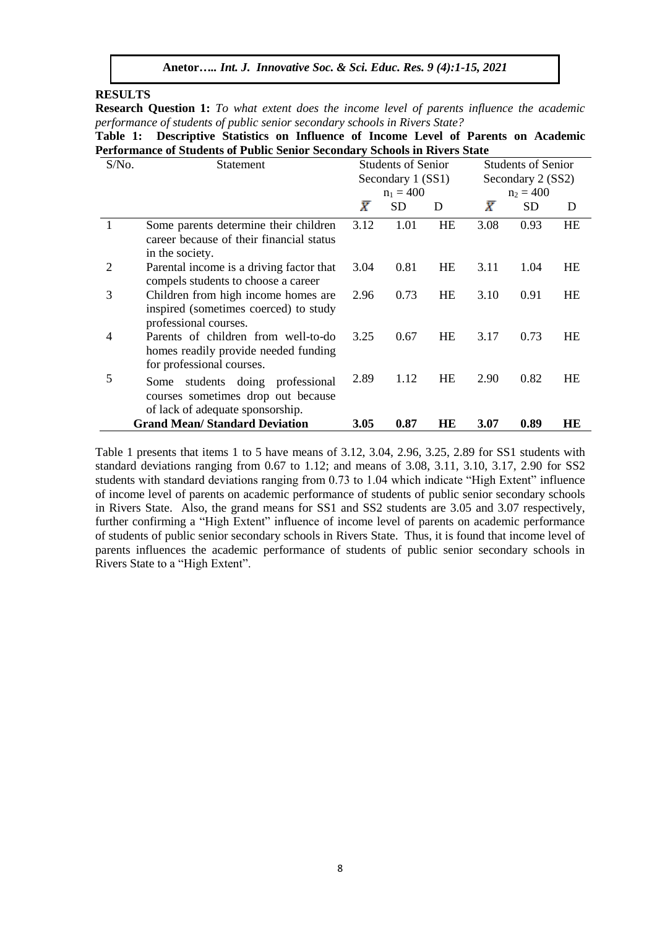#### **RESULTS**

**Research Question 1:** *To what extent does the income level of parents influence the academic performance of students of public senior secondary schools in Rivers State?*

**Table 1: Descriptive Statistics on Influence of Income Level of Parents on Academic Performance of Students of Public Senior Secondary Schools in Rivers State**

| S/No. | Statement                                                                                                     |           | <b>Students of Senior</b> |           | <b>Students of Senior</b><br>Secondary 2 (SS2) |             |    |  |  |
|-------|---------------------------------------------------------------------------------------------------------------|-----------|---------------------------|-----------|------------------------------------------------|-------------|----|--|--|
|       |                                                                                                               |           | Secondary 1 (SS1)         |           |                                                |             |    |  |  |
|       |                                                                                                               |           | $n_1 = 400$               |           |                                                | $n_2 = 400$ |    |  |  |
|       |                                                                                                               | $\bar{X}$ | <b>SD</b>                 | D         | $\bar{X}$                                      | <b>SD</b>   | D  |  |  |
|       | Some parents determine their children<br>career because of their financial status                             | 3.12      | 1.01                      | HE        | 3.08                                           | 0.93        | HE |  |  |
|       | in the society.                                                                                               |           |                           |           |                                                |             |    |  |  |
| 2     | Parental income is a driving factor that<br>compels students to choose a career                               | 3.04      | 0.81                      | HE        | 3.11                                           | 1.04        | HE |  |  |
| 3     | Children from high income homes are<br>inspired (sometimes coerced) to study<br>professional courses.         | 2.96      | 0.73                      | HE        | 3.10                                           | 0.91        | HE |  |  |
| 4     | Parents of children from well-to-do<br>homes readily provide needed funding<br>for professional courses.      | 3.25      | 0.67                      | <b>HE</b> | 3.17                                           | 0.73        | HE |  |  |
| 5     | students doing professional<br>Some<br>courses sometimes drop out because<br>of lack of adequate sponsorship. | 2.89      | 1.12                      | <b>HE</b> | 2.90                                           | 0.82        | HE |  |  |
|       | <b>Grand Mean/Standard Deviation</b>                                                                          | 3.05      | 0.87                      | HЕ        | 3.07                                           | 0.89        | HЕ |  |  |

Table 1 presents that items 1 to 5 have means of 3.12, 3.04, 2.96, 3.25, 2.89 for SS1 students with standard deviations ranging from 0.67 to 1.12; and means of 3.08, 3.11, 3.10, 3.17, 2.90 for SS2 students with standard deviations ranging from 0.73 to 1.04 which indicate "High Extent" influence of income level of parents on academic performance of students of public senior secondary schools in Rivers State. Also, the grand means for SS1 and SS2 students are 3.05 and 3.07 respectively, further confirming a "High Extent" influence of income level of parents on academic performance of students of public senior secondary schools in Rivers State. Thus, it is found that income level of parents influences the academic performance of students of public senior secondary schools in Rivers State to a "High Extent".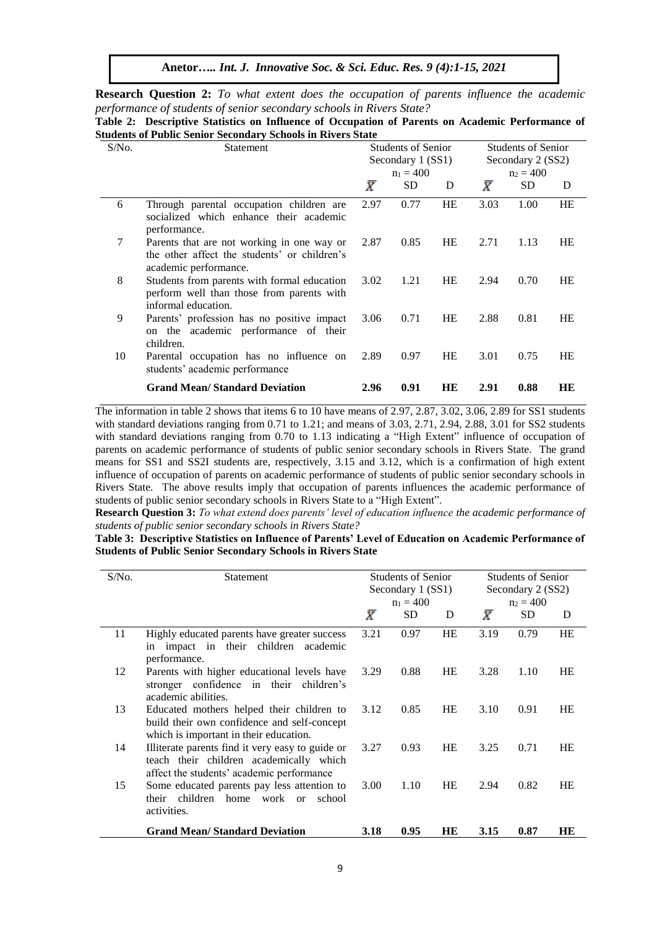**Anetor***….. Int. J. Innovative Soc. & Sci. Educ. Res. 9 (4):1-15, 2021*

**Research Question 2:** *To what extent does the occupation of parents influence the academic performance of students of senior secondary schools in Rivers State?*

| $S/N0$ . | Statement                                                                                                           |           | <b>Students of Senior</b><br>Secondary 1 (SS1) |           | <b>Students of Senior</b>        |      |           |  |
|----------|---------------------------------------------------------------------------------------------------------------------|-----------|------------------------------------------------|-----------|----------------------------------|------|-----------|--|
|          |                                                                                                                     |           | $n_1 = 400$                                    |           | Secondary 2 (SS2)<br>$n_2 = 400$ |      |           |  |
|          |                                                                                                                     | $\bar{X}$ | SD.                                            | D         | $\bar{X}$                        | SD.  | D         |  |
| 6        | Through parental occupation children are<br>socialized which enhance their academic<br>performance.                 | 2.97      | 0.77                                           | HE        | 3.03                             | 1.00 | HE        |  |
| 7        | Parents that are not working in one way or<br>the other affect the students' or children's<br>academic performance. | 2.87      | 0.85                                           | HE        | 2.71                             | 1.13 | HE        |  |
| 8        | Students from parents with formal education<br>perform well than those from parents with<br>informal education.     | 3.02      | 1.21                                           | HE        | 2.94                             | 0.70 | HE        |  |
| 9        | Parents' profession has no positive impact<br>on the academic performance of their<br>children.                     | 3.06      | 0.71                                           | HE        | 2.88                             | 0.81 | HE        |  |
| 10       | Parental occupation has no influence on<br>students' academic performance                                           | 2.89      | 0.97                                           | HE        | 3.01                             | 0.75 | <b>HE</b> |  |
|          | <b>Grand Mean/Standard Deviation</b>                                                                                | 2.96      | 0.91                                           | <b>HE</b> | 2.91                             | 0.88 | HE        |  |

**Table 2: Descriptive Statistics on Influence of Occupation of Parents on Academic Performance of** 

The information in table 2 shows that items 6 to 10 have means of 2.97, 2.87, 3.02, 3.06, 2.89 for SS1 students with standard deviations ranging from 0.71 to 1.21; and means of 3.03, 2.71, 2.94, 2.88, 3.01 for SS2 students with standard deviations ranging from 0.70 to 1.13 indicating a "High Extent" influence of occupation of parents on academic performance of students of public senior secondary schools in Rivers State. The grand means for SS1 and SS2I students are, respectively, 3.15 and 3.12, which is a confirmation of high extent influence of occupation of parents on academic performance of students of public senior secondary schools in Rivers State. The above results imply that occupation of parents influences the academic performance of students of public senior secondary schools in Rivers State to a "High Extent".

**Research Question 3:** *To what extend does parents' level of education influence the academic performance of students of public senior secondary schools in Rivers State?*

**Table 3: Descriptive Statistics on Influence of Parents' Level of Education on Academic Performance of Students of Public Senior Secondary Schools in Rivers State**

| $S/N0$ . | Statement                                                                                                                                |           | <b>Students of Senior</b><br>Secondary 1 (SS1) |           | <b>Students of Senior</b><br>Secondary 2 (SS2) |             |           |  |
|----------|------------------------------------------------------------------------------------------------------------------------------------------|-----------|------------------------------------------------|-----------|------------------------------------------------|-------------|-----------|--|
|          |                                                                                                                                          |           | $n_1 = 400$                                    |           |                                                | $n_2 = 400$ |           |  |
|          |                                                                                                                                          | $\bar{X}$ | SD.                                            | D         | $\bar{X}$                                      | <b>SD</b>   | D         |  |
| 11       | Highly educated parents have greater success<br>in impact in their children academic<br>performance.                                     | 3.21      | 0.97                                           | <b>HE</b> | 3.19                                           | 0.79        | <b>HE</b> |  |
| 12       | Parents with higher educational levels have<br>stronger confidence in their children's<br>academic abilities.                            | 3.29      | 0.88                                           | HE        | 3.28                                           | 1.10        | HE        |  |
| 13       | Educated mothers helped their children to<br>build their own confidence and self-concept<br>which is important in their education.       | 3.12      | 0.85                                           | <b>HE</b> | 3.10                                           | 0.91        | HE        |  |
| 14       | Illiterate parents find it very easy to guide or<br>teach their children academically which<br>affect the students' academic performance | 3.27      | 0.93                                           | HE        | 3.25                                           | 0.71        | HE        |  |
| 15       | Some educated parents pay less attention to<br>their children home work or<br>school<br>activities.                                      | 3.00      | 1.10                                           | HE        | 2.94                                           | 0.82        | <b>HE</b> |  |
|          | <b>Grand Mean/Standard Deviation</b>                                                                                                     | 3.18      | 0.95                                           | HE        | 3.15                                           | 0.87        | HЕ        |  |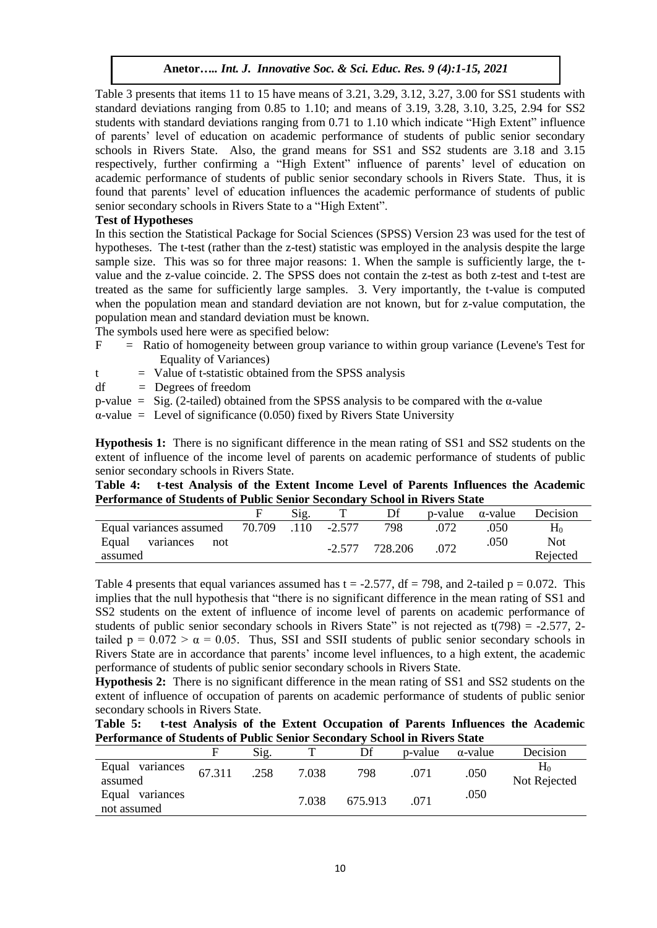Table 3 presents that items 11 to 15 have means of 3.21, 3.29, 3.12, 3.27, 3.00 for SS1 students with standard deviations ranging from 0.85 to 1.10; and means of 3.19, 3.28, 3.10, 3.25, 2.94 for SS2 students with standard deviations ranging from 0.71 to 1.10 which indicate "High Extent" influence of parents' level of education on academic performance of students of public senior secondary schools in Rivers State. Also, the grand means for SS1 and SS2 students are 3.18 and 3.15 respectively, further confirming a "High Extent" influence of parents' level of education on academic performance of students of public senior secondary schools in Rivers State. Thus, it is found that parents' level of education influences the academic performance of students of public senior secondary schools in Rivers State to a "High Extent".

## **Test of Hypotheses**

In this section the Statistical Package for Social Sciences (SPSS) Version 23 was used for the test of hypotheses. The t-test (rather than the z-test) statistic was employed in the analysis despite the large sample size. This was so for three major reasons: 1. When the sample is sufficiently large, the tvalue and the z-value coincide. 2. The SPSS does not contain the z-test as both z-test and t-test are treated as the same for sufficiently large samples. 3. Very importantly, the t-value is computed when the population mean and standard deviation are not known, but for z-value computation, the population mean and standard deviation must be known.

The symbols used here were as specified below:

- F = Ratio of homogeneity between group variance to within group variance (Levene's Test for Equality of Variances)
- $t =$  Value of t-statistic obtained from the SPSS analysis
- $df = \text{Degrees of freedom}$
- p-value = Sig. (2-tailed) obtained from the SPSS analysis to be compared with the α-value

 $\alpha$ -value = Level of significance (0.050) fixed by Rivers State University

**Hypothesis 1:** There is no significant difference in the mean rating of SS1 and SS2 students on the extent of influence of the income level of parents on academic performance of students of public senior secondary schools in Rivers State.

**Table 4: t-test Analysis of the Extent Income Level of Parents Influences the Academic Performance of Students of Public Senior Secondary School in Rivers State**

|                           |        | Sig. |          |         | p-value | $\alpha$ -value | Decision |
|---------------------------|--------|------|----------|---------|---------|-----------------|----------|
| Equal variances assumed   | 70.709 | .110 | $-2.577$ | 798     |         | 050             | Ho       |
| Equal<br>variances<br>not |        |      | $-2.577$ | 728.206 | .072    | .050            | Not      |
| assumed                   |        |      |          |         |         |                 | Rejected |

Table 4 presents that equal variances assumed has  $t = -2.577$ , df = 798, and 2-tailed  $p = 0.072$ . This implies that the null hypothesis that "there is no significant difference in the mean rating of SS1 and SS2 students on the extent of influence of income level of parents on academic performance of students of public senior secondary schools in Rivers State" is not rejected as  $t(798) = -2.577$ , 2tailed  $p = 0.072 > \alpha = 0.05$ . Thus, SSI and SSII students of public senior secondary schools in Rivers State are in accordance that parents' income level influences, to a high extent, the academic performance of students of public senior secondary schools in Rivers State.

**Hypothesis 2:** There is no significant difference in the mean rating of SS1 and SS2 students on the extent of influence of occupation of parents on academic performance of students of public senior secondary schools in Rivers State.

| Table 5: |  |  | t-test Analysis of the Extent Occupation of Parents Influences the Academic |  |  |  |
|----------|--|--|-----------------------------------------------------------------------------|--|--|--|
|          |  |  | Performance of Students of Public Senior Secondary School in Rivers State   |  |  |  |

|                                | F      | Sig. |       | Df      | p-value | $\alpha$ -value | Decision                  |
|--------------------------------|--------|------|-------|---------|---------|-----------------|---------------------------|
| Equal<br>variances<br>assumed  | 67.311 | .258 | 7.038 | 798     | .071    | .050            | $\rm H_0$<br>Not Rejected |
| Equal variances<br>not assumed |        |      | 7.038 | 675.913 | .071    | .050            |                           |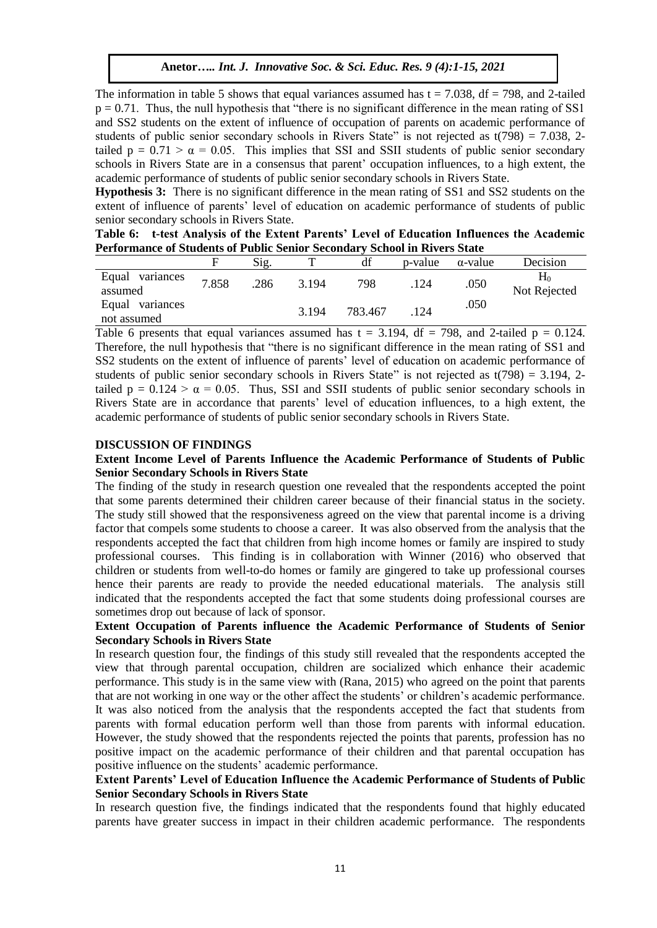The information in table 5 shows that equal variances assumed has  $t = 7.038$ ,  $df = 798$ , and 2-tailed  $p = 0.71$ . Thus, the null hypothesis that "there is no significant difference in the mean rating of SS1 and SS2 students on the extent of influence of occupation of parents on academic performance of students of public senior secondary schools in Rivers State" is not rejected as  $t(798) = 7.038$ , 2tailed  $p = 0.71 > \alpha = 0.05$ . This implies that SSI and SSII students of public senior secondary schools in Rivers State are in a consensus that parent' occupation influences, to a high extent, the academic performance of students of public senior secondary schools in Rivers State.

**Hypothesis 3:** There is no significant difference in the mean rating of SS1 and SS2 students on the extent of influence of parents' level of education on academic performance of students of public senior secondary schools in Rivers State.

| Table 6: t-test Analysis of the Extent Parents' Level of Education Influences the Academic |  |  |  |
|--------------------------------------------------------------------------------------------|--|--|--|
| <b>Performance of Students of Public Senior Secondary School in Rivers State</b>           |  |  |  |

|                                | F     | $\mathrm{Sig.}$ | ௱     | df      | p-value | $\alpha$ -value | Decision                  |
|--------------------------------|-------|-----------------|-------|---------|---------|-----------------|---------------------------|
| Equal<br>variances<br>assumed  | 7.858 | .286            | 3.194 | 798     | 124     | .050            | $\rm H_0$<br>Not Rejected |
| Equal variances<br>not assumed |       |                 | 3.194 | 783.467 | 124     | .050            |                           |

Table 6 presents that equal variances assumed has  $t = 3.194$ ,  $df = 798$ , and 2-tailed  $p = 0.124$ . Therefore, the null hypothesis that "there is no significant difference in the mean rating of SS1 and SS2 students on the extent of influence of parents' level of education on academic performance of students of public senior secondary schools in Rivers State" is not rejected as  $t(798) = 3.194$ , 2tailed  $p = 0.124 > \alpha = 0.05$ . Thus, SSI and SSII students of public senior secondary schools in Rivers State are in accordance that parents' level of education influences, to a high extent, the academic performance of students of public senior secondary schools in Rivers State.

#### **DISCUSSION OF FINDINGS**

## **Extent Income Level of Parents Influence the Academic Performance of Students of Public Senior Secondary Schools in Rivers State**

The finding of the study in research question one revealed that the respondents accepted the point that some parents determined their children career because of their financial status in the society. The study still showed that the responsiveness agreed on the view that parental income is a driving factor that compels some students to choose a career. It was also observed from the analysis that the respondents accepted the fact that children from high income homes or family are inspired to study professional courses. This finding is in collaboration with Winner (2016) who observed that children or students from well-to-do homes or family are gingered to take up professional courses hence their parents are ready to provide the needed educational materials. The analysis still indicated that the respondents accepted the fact that some students doing professional courses are sometimes drop out because of lack of sponsor.

## **Extent Occupation of Parents influence the Academic Performance of Students of Senior Secondary Schools in Rivers State**

In research question four, the findings of this study still revealed that the respondents accepted the view that through parental occupation, children are socialized which enhance their academic performance. This study is in the same view with (Rana, 2015) who agreed on the point that parents that are not working in one way or the other affect the students' or children's academic performance. It was also noticed from the analysis that the respondents accepted the fact that students from parents with formal education perform well than those from parents with informal education. However, the study showed that the respondents rejected the points that parents, profession has no positive impact on the academic performance of their children and that parental occupation has positive influence on the students' academic performance.

## **Extent Parents' Level of Education Influence the Academic Performance of Students of Public Senior Secondary Schools in Rivers State**

In research question five, the findings indicated that the respondents found that highly educated parents have greater success in impact in their children academic performance. The respondents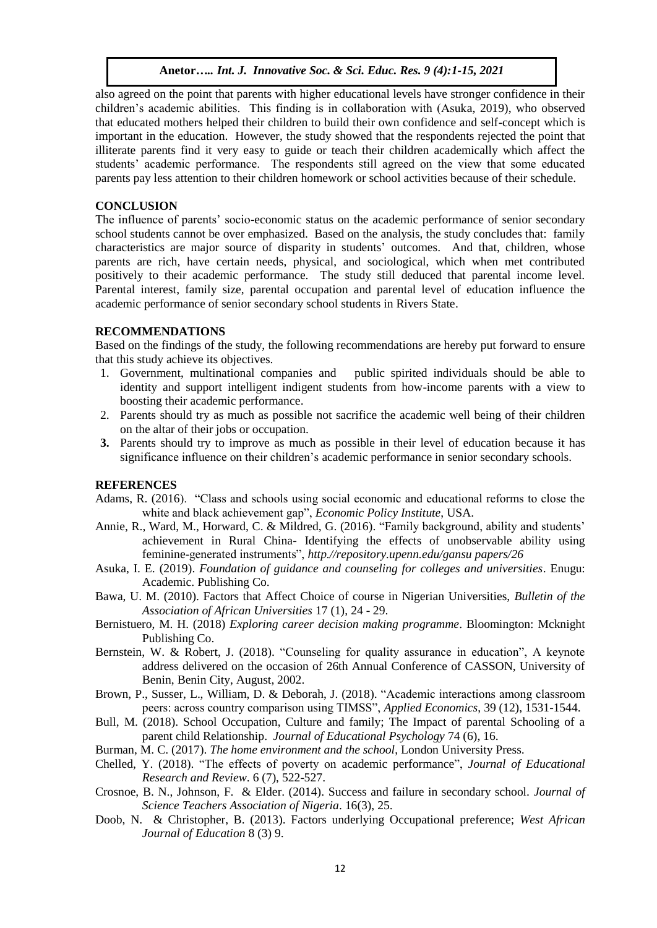also agreed on the point that parents with higher educational levels have stronger confidence in their children's academic abilities. This finding is in collaboration with (Asuka, 2019), who observed that educated mothers helped their children to build their own confidence and self-concept which is important in the education. However, the study showed that the respondents rejected the point that illiterate parents find it very easy to guide or teach their children academically which affect the students' academic performance. The respondents still agreed on the view that some educated parents pay less attention to their children homework or school activities because of their schedule.

#### **CONCLUSION**

The influence of parents' socio-economic status on the academic performance of senior secondary school students cannot be over emphasized. Based on the analysis, the study concludes that: family characteristics are major source of disparity in students' outcomes. And that, children, whose parents are rich, have certain needs, physical, and sociological, which when met contributed positively to their academic performance. The study still deduced that parental income level. Parental interest, family size, parental occupation and parental level of education influence the academic performance of senior secondary school students in Rivers State.

### **RECOMMENDATIONS**

Based on the findings of the study, the following recommendations are hereby put forward to ensure that this study achieve its objectives.

- 1. Government, multinational companies and public spirited individuals should be able to identity and support intelligent indigent students from how-income parents with a view to boosting their academic performance.
- 2. Parents should try as much as possible not sacrifice the academic well being of their children on the altar of their jobs or occupation.
- **3.** Parents should try to improve as much as possible in their level of education because it has significance influence on their children's academic performance in senior secondary schools.

#### **REFERENCES**

- Adams, R. (2016). "Class and schools using social economic and educational reforms to close the white and black achievement gap", *Economic Policy Institute*, USA.
- Annie, R., Ward, M., Horward, C. & Mildred, G. (2016). "Family background, ability and students' achievement in Rural China- Identifying the effects of unobservable ability using feminine-generated instruments", *http.//repository.upenn.edu/gansu papers/26*
- Asuka, I. E. (2019). *Foundation of guidance and counseling for colleges and universities*. Enugu: Academic. Publishing Co.
- Bawa, U. M. (2010). Factors that Affect Choice of course in Nigerian Universities, *Bulletin of the Association of African Universities* 17 (1), 24 - 29.
- Bernistuero, M. H. (2018) *Exploring career decision making programme*. Bloomington: Mcknight Publishing Co.
- Bernstein, W. & Robert, J. (2018). "Counseling for quality assurance in education", A keynote address delivered on the occasion of 26th Annual Conference of CASSON, University of Benin, Benin City, August, 2002.
- Brown, P., Susser, L., William, D. & Deborah, J. (2018). "Academic interactions among classroom peers: across country comparison using TIMSS", *Applied Economics*, 39 (12), 1531-1544.
- Bull, M. (2018). School Occupation, Culture and family; The Impact of parental Schooling of a parent child Relationship. *Journal of Educational Psychology* 74 (6), 16.
- Burman, M. C. (2017). *The home environment and the school*, London University Press.
- Chelled, Y. (2018). "The effects of poverty on academic performance", *Journal of Educational Research and Review*. 6 (7), 522-527.
- Crosnoe, B. N., Johnson, F. & Elder. (2014). Success and failure in secondary school. *Journal of Science Teachers Association of Nigeria*. 16(3), 25.
- Doob, N. & Christopher, B. (2013). Factors underlying Occupational preference; *West African Journal of Education* 8 (3) 9.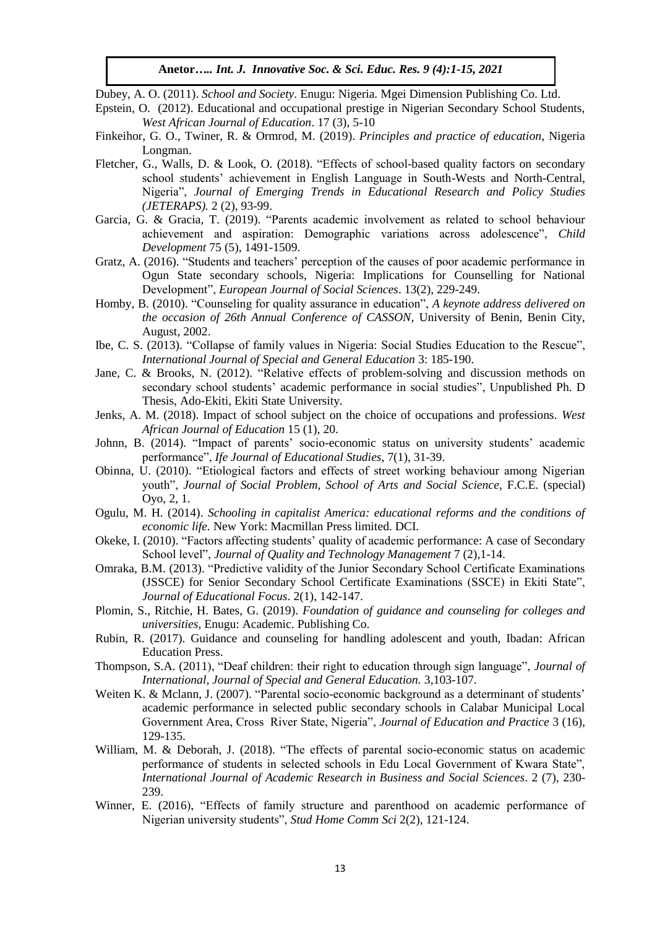- Dubey, A. O. (2011). *School and Society*. Enugu: Nigeria. Mgei Dimension Publishing Co. Ltd.
- Epstein, O. (2012). Educational and occupational prestige in Nigerian Secondary School Students, *West African Journal of Education*. 17 (3), 5-10
- Finkeihor, G. O., Twiner, R. & Ormrod, M. (2019). *Principles and practice of education*, Nigeria Longman.
- Fletcher, G., Walls, D. & Look, O. (2018). "Effects of school-based quality factors on secondary school students' achievement in English Language in South-Wests and North-Central, Nigeria", *Journal of Emerging Trends in Educational Research and Policy Studies (JETERAPS).* 2 (2), 93-99.
- Garcia, G. & Gracia, T. (2019). "Parents academic involvement as related to school behaviour achievement and aspiration: Demographic variations across adolescence", *Child Development* 75 (5), 1491-1509.
- Gratz, A. (2016). "Students and teachers' perception of the causes of poor academic performance in Ogun State secondary schools, Nigeria: Implications for Counselling for National Development", *European Journal of Social Sciences*. 13(2), 229-249.
- Homby, B. (2010). "Counseling for quality assurance in education", *A keynote address delivered on the occasion of 26th Annual Conference of CASSON*, University of Benin, Benin City, August, 2002.
- Ibe, C. S. (2013). "Collapse of family values in Nigeria: Social Studies Education to the Rescue", *International Journal of Special and General Education* 3: 185-190.
- Jane, C. & Brooks, N. (2012). "Relative effects of problem-solving and discussion methods on secondary school students' academic performance in social studies", Unpublished Ph. D Thesis, Ado-Ekiti, Ekiti State University.
- Jenks, A. M. (2018). Impact of school subject on the choice of occupations and professions. *West African Journal of Education* 15 (1), 20.
- Johnn, B. (2014). "Impact of parents' socio-economic status on university students' academic performance", *Ife Journal of Educational Studies*, 7(1), 31-39.
- Obinna, U. (2010). "Etiological factors and effects of street working behaviour among Nigerian youth", *Journal of Social Problem, School of Arts and Social Science*, F.C.E. (special) Oyo, 2, 1.
- Ogulu, M. H. (2014). *Schooling in capitalist America: educational reforms and the conditions of economic life.* New York: Macmillan Press limited. DCI.
- Okeke, I. (2010). "Factors affecting students' quality of academic performance: A case of Secondary School level", *Journal of Quality and Technology Management* 7 (2),1-14.
- Omraka, B.M. (2013). "Predictive validity of the Junior Secondary School Certificate Examinations (JSSCE) for Senior Secondary School Certificate Examinations (SSCE) in Ekiti State", *Journal of Educational Focus*. 2(1), 142-147.
- Plomin, S., Ritchie, H. Bates, G. (2019). *Foundation of guidance and counseling for colleges and universities*, Enugu: Academic. Publishing Co.
- Rubin, R. (2017). Guidance and counseling for handling adolescent and youth, Ibadan: African Education Press.
- Thompson, S.A. (2011), "Deaf children: their right to education through sign language", *Journal of International, Journal of Special and General Education.* 3,103-107.
- Weiten K. & Mclann, J. (2007). "Parental socio-economic background as a determinant of students' academic performance in selected public secondary schools in Calabar Municipal Local Government Area, Cross River State, Nigeria", *Journal of Education and Practice* 3 (16), 129-135.
- William, M. & Deborah, J. (2018). "The effects of parental socio-economic status on academic performance of students in selected schools in Edu Local Government of Kwara State", *International Journal of Academic Research in Business and Social Sciences*. 2 (7), 230- 239.
- Winner, E. (2016), "Effects of family structure and parenthood on academic performance of Nigerian university students", *Stud Home Comm Sci* 2(2), 121-124.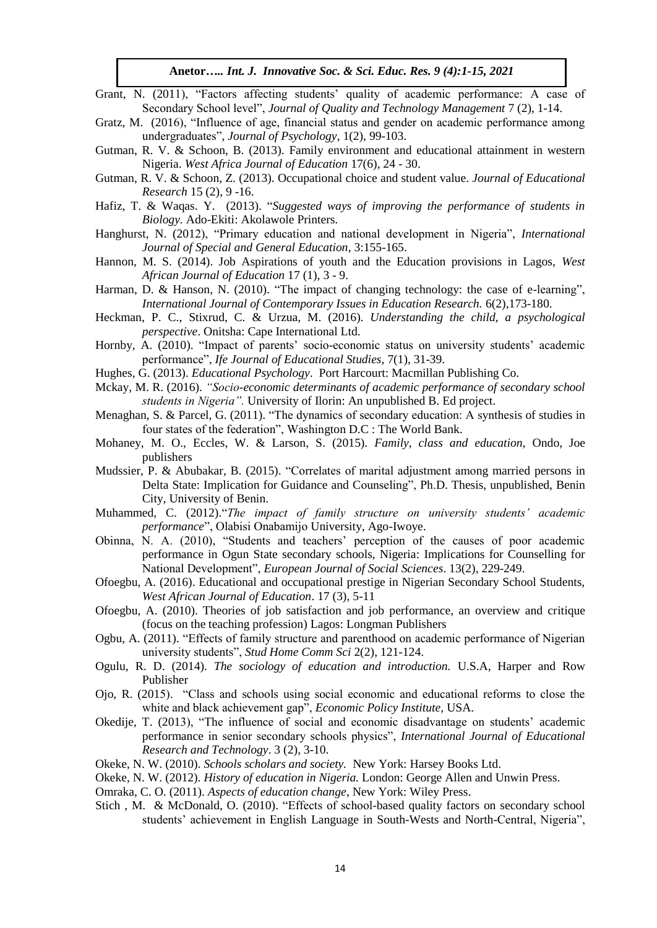- Grant, N. (2011), "Factors affecting students' quality of academic performance: A case of Secondary School level", *Journal of Quality and Technology Management* 7 (2), 1-14.
- Gratz, M. (2016), "Influence of age, financial status and gender on academic performance among undergraduates", *Journal of Psychology*, 1(2), 99-103.
- Gutman, R. V. & Schoon, B. (2013). Family environment and educational attainment in western Nigeria. *West Africa Journal of Education* 17(6), 24 - 30.
- Gutman, R. V. & Schoon, Z. (2013). Occupational choice and student value. *Journal of Educational Research* 15 (2), 9 -16.
- Hafiz, T. & Waqas. Y. (2013). "*Suggested ways of improving the performance of students in Biology.* Ado-Ekiti: Akolawole Printers.
- Hanghurst, N. (2012), "Primary education and national development in Nigeria", *International Journal of Special and General Education*, 3:155-165.
- Hannon, M. S. (2014). Job Aspirations of youth and the Education provisions in Lagos, *West African Journal of Education* 17 (1), 3 - 9.
- Harman, D. & Hanson, N. (2010). "The impact of changing technology: the case of e-learning", *International Journal of Contemporary Issues in Education Research.* 6(2),173-180.
- Heckman, P. C., Stixrud, C. & Urzua, M. (2016). *Understanding the child, a psychological perspective*. Onitsha: Cape International Ltd.
- Hornby, A. (2010). "Impact of parents' socio-economic status on university students' academic performance", *Ife Journal of Educational Studies*, 7(1), 31-39.
- Hughes, G. (2013). *Educational Psychology*. Port Harcourt: Macmillan Publishing Co.
- Mckay, M. R. (2016). *"Socio-economic determinants of academic performance of secondary school students in Nigeria".* University of Ilorin: An unpublished B. Ed project.
- Menaghan, S. & Parcel, G. (2011). "The dynamics of secondary education: A synthesis of studies in four states of the federation", Washington D.C : The World Bank.
- Mohaney, M. O., Eccles, W. & Larson, S. (2015). *Family, class and education,* Ondo, Joe publishers
- Mudssier, P. & Abubakar, B. (2015). "Correlates of marital adjustment among married persons in Delta State: Implication for Guidance and Counseling", Ph.D. Thesis, unpublished, Benin City, University of Benin.
- Muhammed, C. (2012)."*The impact of family structure on university students' academic performance*", Olabisi Onabamijo University, Ago-Iwoye.
- Obinna, N. A. (2010), "Students and teachers' perception of the causes of poor academic performance in Ogun State secondary schools, Nigeria: Implications for Counselling for National Development", *European Journal of Social Sciences*. 13(2), 229-249.
- Ofoegbu, A. (2016). Educational and occupational prestige in Nigerian Secondary School Students, *West African Journal of Education*. 17 (3), 5-11
- Ofoegbu, A. (2010). Theories of job satisfaction and job performance, an overview and critique (focus on the teaching profession) Lagos: Longman Publishers
- Ogbu, A. (2011). "Effects of family structure and parenthood on academic performance of Nigerian university students", *Stud Home Comm Sci* 2(2), 121-124.
- Ogulu, R. D. (2014). *The sociology of education and introduction.* U.S.A, Harper and Row Publisher
- Ojo, R. (2015). "Class and schools using social economic and educational reforms to close the white and black achievement gap", *Economic Policy Institute*, USA.
- Okedije, T. (2013), "The influence of social and economic disadvantage on students' academic performance in senior secondary schools physics", *International Journal of Educational Research and Technology*. 3 (2), 3-10.
- Okeke, N. W. (2010). *Schools scholars and society.* New York: Harsey Books Ltd.
- Okeke, N. W. (2012). *History of education in Nigeria.* London: George Allen and Unwin Press.
- Omraka, C. O. (2011). *Aspects of education change*, New York: Wiley Press.
- Stich , M. & McDonald, O. (2010). "Effects of school-based quality factors on secondary school students' achievement in English Language in South-Wests and North-Central, Nigeria",